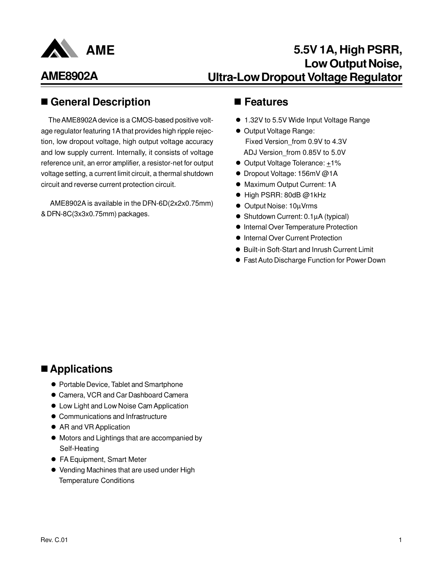

## **5.5V 1A, High PSRR, Low Output Noise, Ultra-Low Dropout Voltage Regulator**

## ■ General Description ■ Features

The AME8902A device is a CMOS-based positive voltage regulator featuring 1A that provides high ripple rejection, low dropout voltage, high output voltage accuracy and low supply current. Internally, it consists of voltage reference unit, an error amplifier, a resistor-net for output voltage setting, a current limit circuit, a thermal shutdown circuit and reverse current protection circuit.

 AME8902A is available in the DFN-6D(2x2x0.75mm) & DFN-8C(3x3x0.75mm) packages.

- 1.32V to 5.5V Wide Input Voltage Range
- Output Voltage Range: Fixed Version\_from 0.9V to 4.3V ADJ Version\_from 0.85V to 5.0V
- Output Voltage Tolerance: +1%
- Dropout Voltage: 156mV @1A
- $\bullet$  Maximum Output Current: 1A
- $\bullet$  High PSRR: 80dB @1kHz
- Output Noise: 10µVrms
- Shutdown Current: 0.1µA (typical)
- **Internal Over Temperature Protection**
- $\bullet$  Internal Over Current Protection
- Built-in Soft-Start and Inrush Current Limit
- **Fast Auto Discharge Function for Power Down**

## ■ Applications

- **Portable Device, Tablet and Smartphone**
- **Camera, VCR and Car Dashboard Camera**
- $\bullet$  Low Light and Low Noise Cam Application
- **Communications and Infrastructure**
- AR and VR Application
- $\bullet$  Motors and Lightings that are accompanied by Self-Heating
- **FA Equipment, Smart Meter**
- Vending Machines that are used under High Temperature Conditions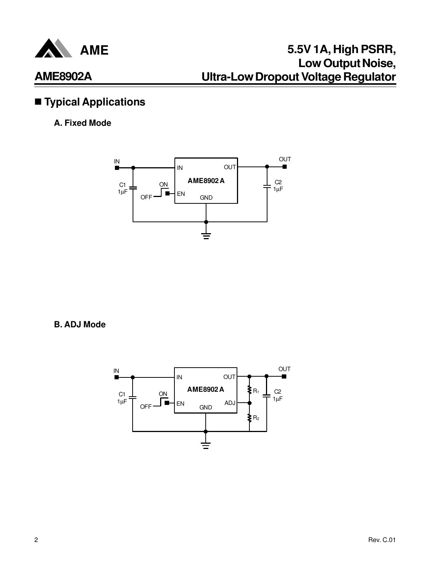

## $\blacksquare$  Typical Applications

### **A. Fixed Mode**



**B. ADJ Mode**

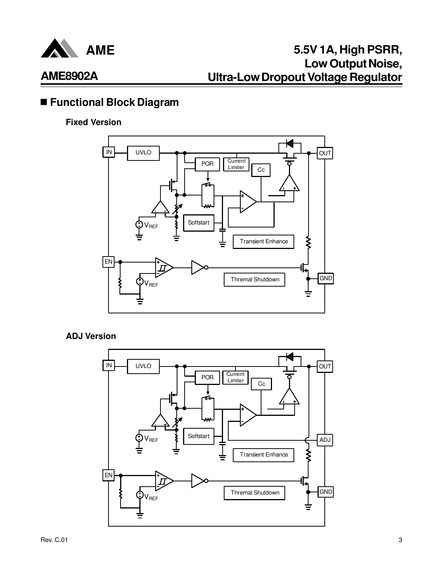

## n **Functional Block Diagram**

### **Fixed Version**



#### **ADJ Version**

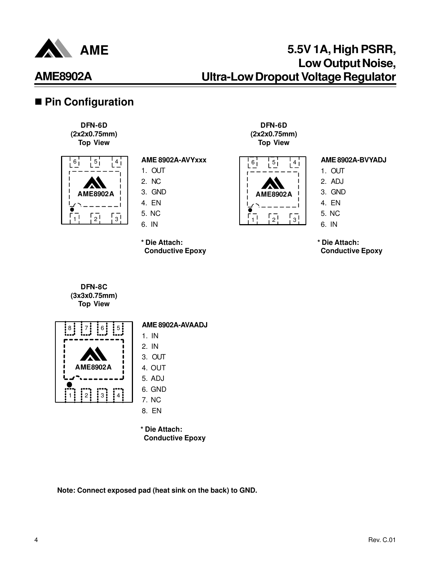

## ■ Pin Configuration

**DFN-6D (2x2x0.75mm) Top View**



### **AME 8902A-AVYxxx**

- 1. OUT
- 2. NC 3. GND
- 4. EN
- 5. NC
- 6. IN

**\* Die Attach: Conductive Epoxy** 





#### **AME 8902A-BVYADJ**

- 1. OUT
- 2. ADJ
- 3. GND
- 4. EN
- 5. NC
- 6. IN

**\* Die Attach: Conductive Epoxy** 

**DFN-8C (3x3x0.75mm) Top View**



5**<b>1** AME 8902A-AVAADJ

- 1. IN 2. IN
- 3. OUT
- 4. OUT
- 5. ADJ
- 6. GND
- 7. NC
- 8. EN
- **\* Die Attach: Conductive Epoxy**

**Note: Connect exposed pad (heat sink on the back) to GND.**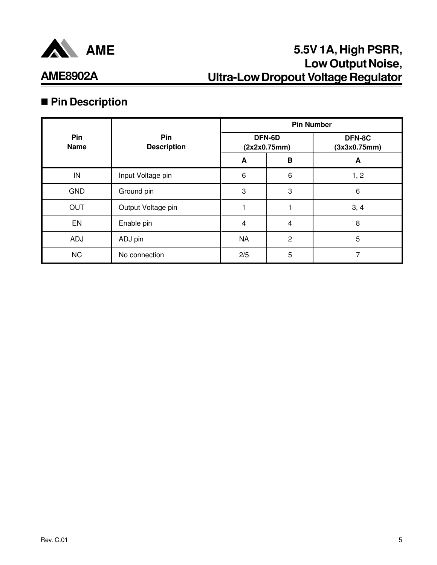

# **AME8902A**

## ■ Pin Description

|                    |                           | <b>Pin Number</b> |                        |                        |
|--------------------|---------------------------|-------------------|------------------------|------------------------|
| Pin<br><b>Name</b> | Pin<br><b>Description</b> |                   | DFN-6D<br>(2x2x0.75mm) | DFN-8C<br>(3x3x0.75mm) |
|                    |                           | A                 | B                      | A                      |
| IN                 | Input Voltage pin         | 6                 | $6\,$                  | 1, 2                   |
| <b>GND</b>         | Ground pin                | 3                 | 3                      | 6                      |
| <b>OUT</b>         | Output Voltage pin        |                   |                        | 3, 4                   |
| EN                 | Enable pin                | $\overline{4}$    | 4                      | 8                      |
| <b>ADJ</b>         | ADJ pin                   | <b>NA</b>         | $\overline{2}$         | 5                      |
| <b>NC</b>          | No connection             | 2/5               | 5                      | 7                      |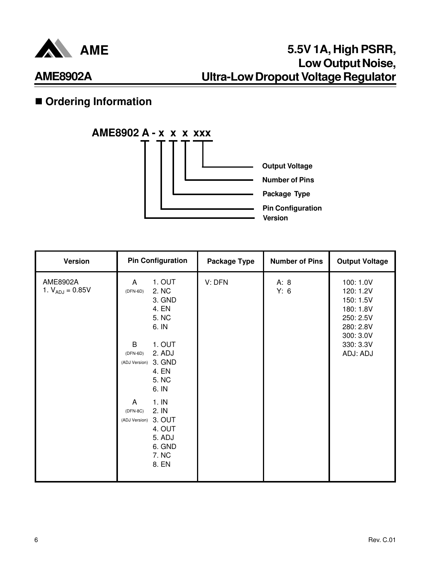

## $\blacksquare$  **Ordering Information**



| Version                          | <b>Pin Configuration</b>                                                                                 | <b>Package Type</b> | <b>Number of Pins</b> | <b>Output Voltage</b>                                                                   |
|----------------------------------|----------------------------------------------------------------------------------------------------------|---------------------|-----------------------|-----------------------------------------------------------------------------------------|
| AME8902A<br>1. $V_{ADJ} = 0.85V$ | 1. OUT<br>A<br>2. NC<br>$(DFN-6D)$<br>3. GND<br>4. EN<br>5. NC<br>6. IN                                  | V: DFN              | A: 8<br>Y: 6          | 100: 1.0V<br>120: 1.2V<br>150: 1.5V<br>180: 1.8V<br>250: 2.5V<br>280: 2.8V<br>300: 3.0V |
|                                  | 1. OUT<br>B<br>2. ADJ<br>$(DFN-6D)$<br>(ADJ Version) 3. GND<br>4. EN<br>5. NC<br>6. IN                   |                     |                       | 330: 3.3V<br>ADJ: ADJ                                                                   |
|                                  | 1.1N<br>A<br>2. IN<br>$(DFN-8C)$<br>(ADJ Version) 3. OUT<br>4. OUT<br>5. ADJ<br>6. GND<br>7. NC<br>8. EN |                     |                       |                                                                                         |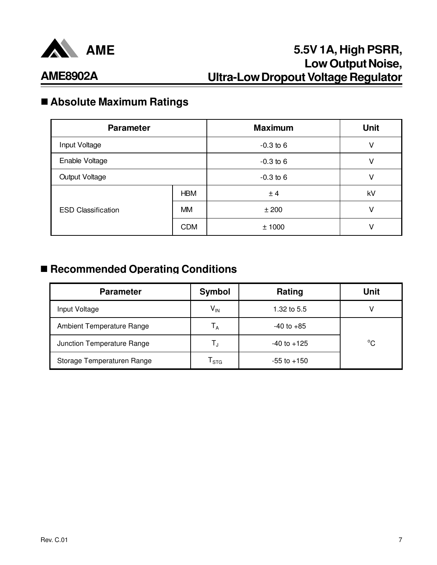

## n **Absolute Maximum Ratings**

| <b>Parameter</b>          |            | <b>Maximum</b> | <b>Unit</b> |
|---------------------------|------------|----------------|-------------|
| Input Voltage             |            | $-0.3$ to 6    | v           |
| Enable Voltage            |            | $-0.3$ to 6    | v           |
| <b>Output Voltage</b>     |            | $-0.3$ to 6    | v           |
|                           | <b>HBM</b> | ± 4            | kV          |
| <b>ESD Classification</b> | <b>MM</b>  | ±200           | V           |
|                           | <b>CDM</b> | ±1000          | V           |

## ■ Recommended Operating Conditions

| <b>Parameter</b>           | Symbol                 | Rating          | <b>Unit</b> |
|----------------------------|------------------------|-----------------|-------------|
| Input Voltage              | $V_{IN}$               | 1.32 to 5.5     |             |
| Ambient Temperature Range  | Т <sub>А</sub>         | $-40$ to $+85$  |             |
| Junction Temperature Range | Т,                     | $-40$ to $+125$ | $^{\circ}C$ |
| Storage Temperaturen Range | ${\sf T}_{\text{STG}}$ | $-55$ to $+150$ |             |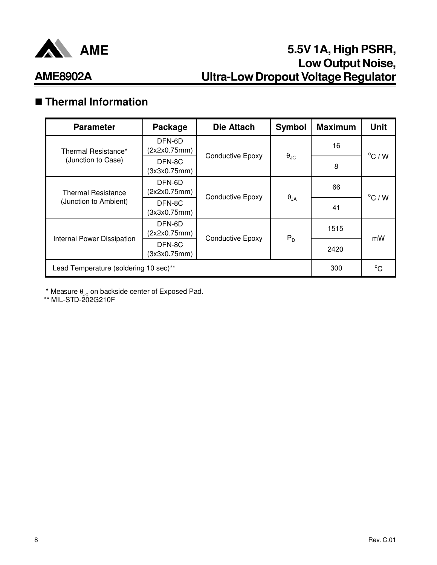

## n **Thermal Information**

| <b>Parameter</b>                      | Package                | <b>Die Attach</b>       | <b>Symbol</b>        | <b>Maximum</b> | <b>Unit</b>      |
|---------------------------------------|------------------------|-------------------------|----------------------|----------------|------------------|
| Thermal Resistance*                   | DFN-6D<br>(2x2x0.75mm) | <b>Conductive Epoxy</b> |                      | 16             | $^{\circ}$ C / W |
| (Junction to Case)                    | DFN-8C<br>(3x3x0.75mm) |                         | $\theta_{\text{JC}}$ | 8              |                  |
| <b>Thermal Resistance</b>             | DFN-6D<br>(2x2x0.75mm) | <b>Conductive Epoxy</b> |                      | 66             | $^{\circ}$ C / W |
| (Junction to Ambient)                 | DFN-8C<br>(3x3x0.75mm) |                         | $\theta_{JA}$        | 41             |                  |
| <b>Internal Power Dissipation</b>     | DFN-6D<br>(2x2x0.75mm) | <b>Conductive Epoxy</b> | $P_D$                | 1515           | mW               |
|                                       | DFN-8C<br>(3x3x0.75mm) |                         |                      | 2420           |                  |
| Lead Temperature (soldering 10 sec)** | 300                    | $^{\circ}C$             |                      |                |                  |

 $^{\star}$  Measure  $\theta_{\text{JC}}$  on backside center of Exposed Pad.

\*\* MIL-STD-202G210F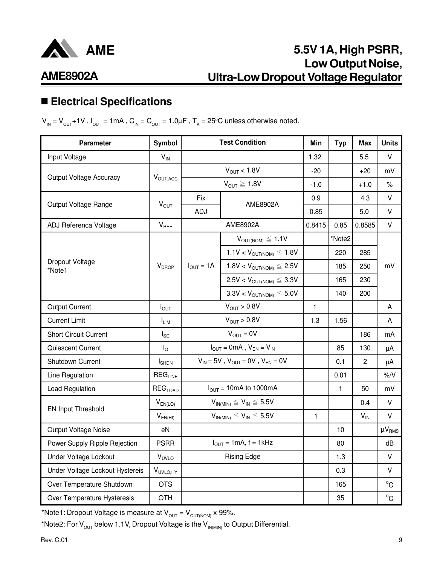

# **AME8902A**

## n **Electrical Specifications**

 $V_{\text{IN}} = V_{\text{OUT}} + 1V$  ,  $I_{\text{OUT}} = 1 \text{ mA}$  ,  $C_{\text{IN}} = C_{\text{OUT}} = 1.0 \mu\text{F}$  ,  $T_{\text{A}} = 25^{\circ}\text{C}$  unless otherwise noted.

| <b>Parameter</b>                | Symbol                    |                                           | <b>Test Condition</b>                                                                                                              | Min          | <b>Typ</b> | Max            | <b>Units</b>  |
|---------------------------------|---------------------------|-------------------------------------------|------------------------------------------------------------------------------------------------------------------------------------|--------------|------------|----------------|---------------|
| Input Voltage                   | $V_{\text{IN}}$           |                                           |                                                                                                                                    | 1.32         |            | 5.5            | $\vee$        |
|                                 |                           | $V_{\text{OUT}} < 1.8V$                   |                                                                                                                                    | $-20$        |            | $+20$          | mV            |
| Output Voltage Accuracy         | $V_{\text{OUT,ACC}}$      |                                           | $V_{OUT} \ge 1.8V$                                                                                                                 | $-1.0$       |            | $+1.0$         | $\%$          |
|                                 |                           | Fix                                       | AME8902A                                                                                                                           | 0.9          |            | 4.3            | V             |
| Output Voltage Range            | $V_{OUT}$                 | ADJ                                       |                                                                                                                                    | 0.85         |            | 5.0            | $\vee$        |
| ADJ Referenca Voltage           | $V_{REF}$                 |                                           | AME8902A                                                                                                                           | 0.8415       | 0.85       | 0.8585         | $\mathsf{V}$  |
|                                 |                           |                                           | $V_{OUT(NOM)} \leq 1.1V$                                                                                                           |              | *Note2     |                |               |
|                                 |                           |                                           | $1.1V < V_{OUT(NOM)} \leq 1.8V$                                                                                                    |              | 220        | 285            |               |
| Dropout Voltage<br>*Note1       | $V_{DROP}$                | $I_{OUT} = 1A$                            | $1.8V < V_{OUT(NOM)} \leq 2.5V$                                                                                                    |              | 185        | 250            | mV            |
|                                 |                           |                                           | $2.5V < V_{OUT(NOM)} \leq 3.3V$                                                                                                    |              | 165        | 230            |               |
|                                 |                           |                                           | $3.3V < V_{\text{OUT(NOM)}} \leq 5.0V$                                                                                             |              | 140        | 200            |               |
| <b>Output Current</b>           | $I_{OUT}$                 | $V_{OUT} > 0.8V$                          |                                                                                                                                    | $\mathbf{1}$ |            |                | A             |
| <b>Current Limit</b>            | $I_{LIM}$                 | $V_{OUT} > 0.8V$                          |                                                                                                                                    | 1.3          | 1.56       |                | A             |
| <b>Short Circuit Current</b>    | $I_{SC}$                  |                                           | $V_{OUT} = 0V$                                                                                                                     |              |            | 186            | mA            |
| Quiescent Current               | $I_{\Omega}$              |                                           | $I_{OUT} = 0mA$ , $V_{EN} = V_{IN}$                                                                                                |              | 85         | 130            | μA            |
| Shutdown Current                | $I_{\text{SHDN}}$         |                                           | $\mathsf{V}_{\mathsf{IN}} = 5 \mathsf{V}$ , $\mathsf{V}_{\mathsf{OUT}} = 0 \mathsf{V}$ , $\mathsf{V}_{\mathsf{EN}} = 0 \mathsf{V}$ |              | 0.1        | $\overline{2}$ | μA            |
| Line Regulation                 | $REG_{LINE}$              |                                           |                                                                                                                                    |              | 0.01       |                | $\% / V$      |
| Load Regulation                 | <b>REG<sub>LOAD</sub></b> |                                           | $I_{OUT}$ = 10mA to 1000mA                                                                                                         |              | 1          | 50             | mV            |
|                                 | $V_{EN(LO)}$              | $V_{IN(MIN)} \leq V_{IN} \leq 5.5V$       |                                                                                                                                    |              |            | 0.4            | V             |
| EN Input Threshold              | $V_{EN(HI)}$              | $V_{IN(MIN)} \leq V_{IN} \leq 5.5V$       |                                                                                                                                    | $\mathbf{1}$ |            | $V_{IN}$       | V             |
| Output Voltage Noise            | eN                        |                                           |                                                                                                                                    |              | 10         |                | $\mu V_{RMS}$ |
| Power Supply Ripple Rejection   | <b>PSRR</b>               | $I_{\text{OUT}} = 1 \text{mA}$ , f = 1kHz |                                                                                                                                    |              | 80         |                | dB            |
| Under Voltage Lockout           | VUVLO                     | <b>Rising Edge</b>                        |                                                                                                                                    |              | 1.3        |                | $\vee$        |
| Under Voltage Lockout Hystereis | V <sub>UVLO, HY</sub>     |                                           |                                                                                                                                    |              | 0.3        |                | V             |
| Over Temperature Shutdown       | <b>OTS</b>                |                                           |                                                                                                                                    |              | 165        |                | $^{\circ}C$   |
| Over Temperature Hysteresis     | <b>OTH</b>                |                                           |                                                                                                                                    |              | 35         |                | $^{\circ}$ C  |

\*Note1: Dropout Voltage is measure at  $V_{\text{OUT}} = V_{\text{OUT(NOM)}} \times 99\%.$ 

\*Note2: For  $V_{\text{OUT}}$  below 1.1V, Dropout Voltage is the  $V_{IN(MIN)}$  to Output Differential.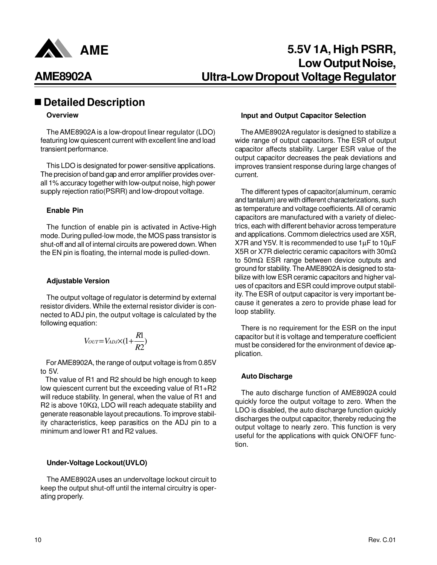

## n **Detailed Description**

#### **Overview**

The AME8902A is a low-dropout linear regulator (LDO) featuring low quiescent current with excellent line and load transient performance.

This LDO is designated for power-sensitive applications. The precision of band gap and error amplifier provides overall 1% accuracy together with low-output noise, high power supply rejection ratio(PSRR) and low-dropout voltage.

#### **Enable Pin**

The function of enable pin is activated in Active-High mode. During pulled-low mode, the MOS pass transistor is shut-off and all of internal circuits are powered down. When the EN pin is floating, the internal mode is pulled-down.

#### **Adjustable Version**

The output voltage of regulator is determind by external resistor dividers. While the external resistor divider is connected to ADJ pin, the output voltage is calculated by the following equation:

$$
V_{OUT}=V_{ADJ}\times(1+\frac{R1}{R2})
$$

 For AME8902A, the range of output voltage is from 0.85V to 5V.

 The value of R1 and R2 should be high enough to keep low quiescent current but the exceeding value of R1+R2 will reduce stability. In general, when the value of R1 and R2 is above 10KΩ, LDO will reach adequate stability and generate reasonable layout precautions. To improve stability characteristics, keep parasitics on the ADJ pin to a minimum and lower R1 and R2 values.

#### **Under-Voltage Lockout(UVLO)**

The AME8902A uses an undervoltage lockout circuit to keep the output shut-off until the internal circuitry is operating properly.

#### **Input and Output Capacitor Selection**

The AME8902A regulator is designed to stabilize a wide range of output capacitors. The ESR of output capacitor affects stability. Larger ESR value of the output capacitor decreases the peak deviations and improves transient response during large changes of current.

The different types of capacitor(aluminum, ceramic and tantalum) are with different characterizations, such as temperature and voltage coefficients. All of ceramic capacitors are manufactured with a variety of dielectrics, each with different behavior across temperature and applications. Commom dielectrics used are X5R, X7R and Y5V. It is recommended to use 1µF to 10µF X5R or X7R dielectric ceramic capacitors with 30mΩ to 50mΩ ESR range between device outputs and ground for stability. The AME8902A is designed to stabilize with low ESR ceramic capacitors and higher values of cpacitors and ESR could improve output stability. The ESR of output capacitor is very important because it generates a zero to provide phase lead for loop stability.

There is no requirement for the ESR on the input capacitor but it is voltage and temperature coefficient must be considered for the environment of device application.

#### **Auto Discharge**

The auto discharge function of AME8902A could quickly force the output voltage to zero. When the LDO is disabled, the auto discharge function quickly discharges the output capacitor, thereby reducing the output voltage to nearly zero. This function is very useful for the applications with quick ON/OFF function.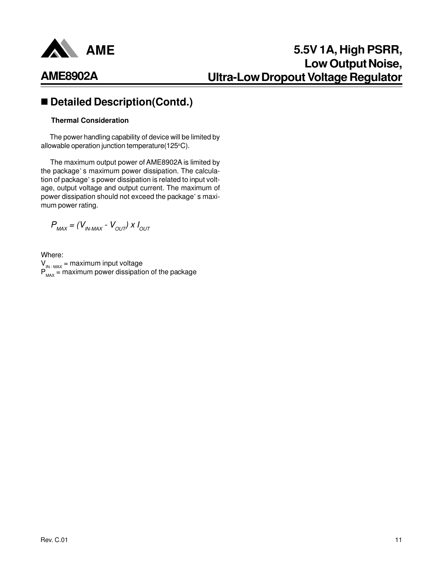

## ■ Detailed Description(Contd.)

#### **Thermal Consideration**

 The power handling capability of device will be limited by allowable operation junction temperature(125°C).

 The maximum output power of AME8902A is limited by the package' s maximum power dissipation. The calculation of package' s power dissipation is related to input voltage, output voltage and output current. The maximum of power dissipation should not exceed the package' s maximum power rating.

 $P_{MAX} = (V_{IN-MAX} - V_{OUT}) \times I_{OUT}$ 

Where:  $V_{IN-MAX}$  = maximum input voltage  $P_{MAX}$  = maximum power dissipation of the package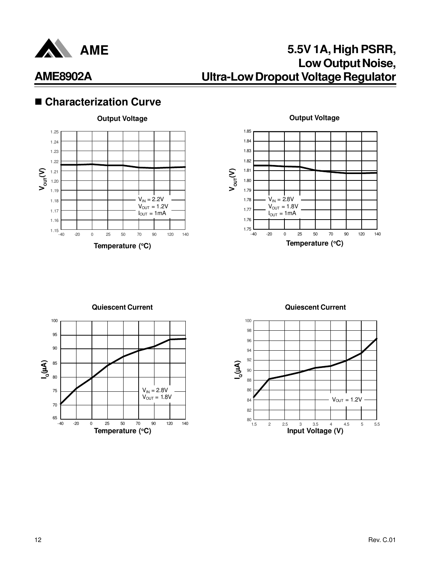

## ■ Characterization Curve





**Quiescent Current**



**Quiescent Current**

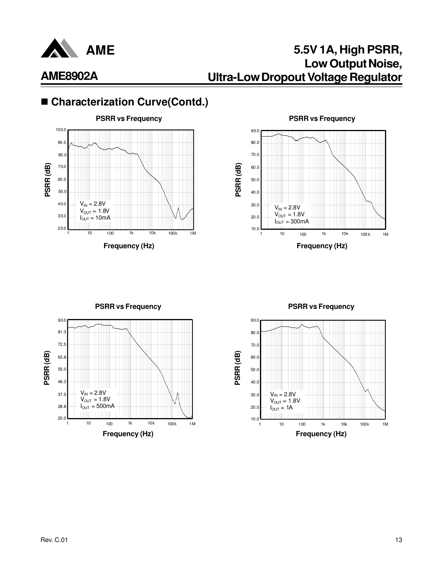

## **5.5V 1A, High PSRR, Low Output Noise, Ultra-Low Dropout Voltage Regulator**

## ■ Characterization Curve(Contd.)





**PSRR (dB)**  $V_{IN} = 2.8V$  $V_{OUT} = 1.8V$  $I_{\text{OUT}} = 500 \text{mA}$ 1 10 100 1k 10k 100k 1M 90.0 37.5 55.0 63.8 72.5 81.3 46.3 28.8  $20.0$ 

**PSRR vs Frequency PSRR vs Frequency**

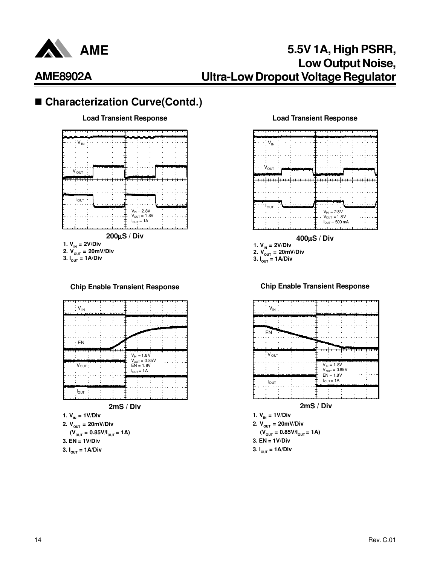

# ■ Characterization Curve(Contd.)



#### **Chip Enable Transient Response**



#### **1.**  $V_{IN} = 1V/Div$ **2.**  $V_{\text{OUT}} = 20 \text{mV/Div}$  $(V_{\text{OUT}} = 0.85V/I_{\text{OUT}} = 1A)$

- **3. EN = 1V/Div**
- **3. IOUT = 1A/Div**

#### **Load Transient Response Load Transient Response**



**3.**  $I_{\text{OUT}} = 1$ **A**/Div

**Chip Enable Transient Response**





**3.**  $I_{\text{OUT}} = 1$ **A/Div**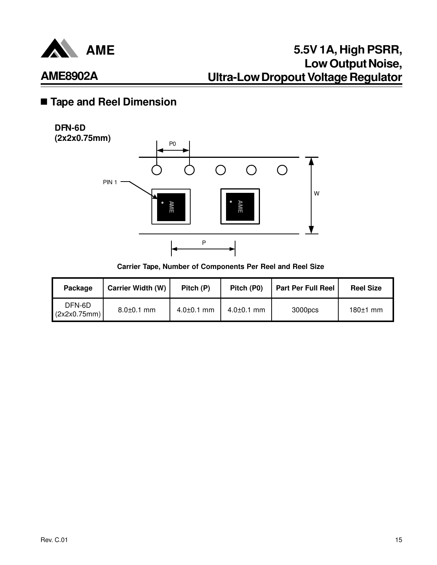

## n **Tape and Reel Dimension**

### **DFN-6D (2x2x0.75mm)**



**Carrier Tape, Number of Components Per Reel and Reel Size**

| Package                | <b>Carrier Width (W)</b> | Pitch (P)        | Pitch (P0)       | <b>Part Per Full Reel</b> | <b>Reel Size</b> |
|------------------------|--------------------------|------------------|------------------|---------------------------|------------------|
| DFN-6D<br>(2x2x0.75mm) | $8.0 \pm 0.1$ mm         | $4.0{\pm}0.1$ mm | $4.0 \pm 0.1$ mm | 3000pcs                   | $180±1$ mm       |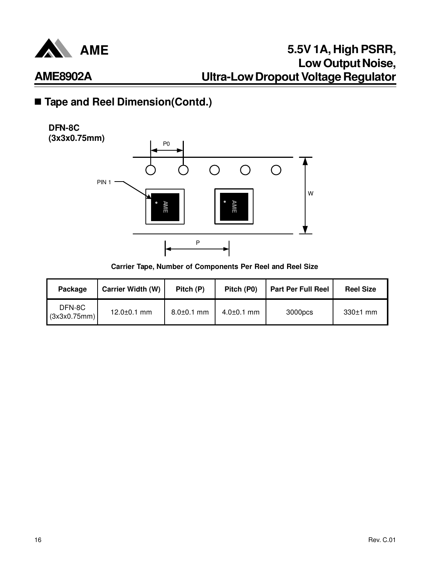

## ■ Tape and Reel Dimension(Contd.)





**Carrier Tape, Number of Components Per Reel and Reel Size**

| Package                | <b>Carrier Width (W)</b> | Pitch (P)        | Pitch (P0)       | <b>Part Per Full Reel</b> | <b>Reel Size</b> |
|------------------------|--------------------------|------------------|------------------|---------------------------|------------------|
| DFN-8C<br>(3x3x0.75mm) | $12.0 \pm 0.1$ mm        | $8.0 \pm 0.1$ mm | $4.0 \pm 0.1$ mm | 3000pcs                   | $330±1$ mm       |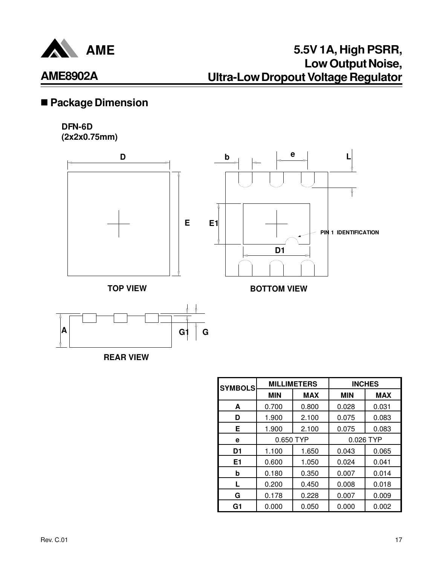

## **5.5V 1A, High PSRR, Low Output Noise, Ultra-Low Dropout Voltage Regulator**

## n **Package Dimension**

### **DFN-6D**

**(2x2x0.75mm)**







| <b>SYMBOLS</b> |            | <b>MILLIMETERS</b> | <b>INCHES</b> |            |  |
|----------------|------------|--------------------|---------------|------------|--|
|                | <b>MIN</b> | <b>MAX</b>         | <b>MIN</b>    | <b>MAX</b> |  |
| A              | 0.700      | 0.800              | 0.028         | 0.031      |  |
| D              | 1.900      | 2.100              | 0.075         | 0.083      |  |
| Е              | 1.900      | 2.100              | 0.075         | 0.083      |  |
| е              | 0.650 TYP  |                    | 0.026 TYP     |            |  |
| D <sub>1</sub> | 1.100      | 1.650              | 0.043         | 0.065      |  |
| E <sub>1</sub> | 0.600      | 1.050              | 0.024         | 0.041      |  |
| b              | 0.180      | 0.350              | 0.007         | 0.014      |  |
| L              | 0.200      | 0.450              | 0.008         | 0.018      |  |
| G              | 0.178      | 0.228              | 0.007         | 0.009      |  |
| G1             | 0.000      | 0.050              | 0.000         | 0.002      |  |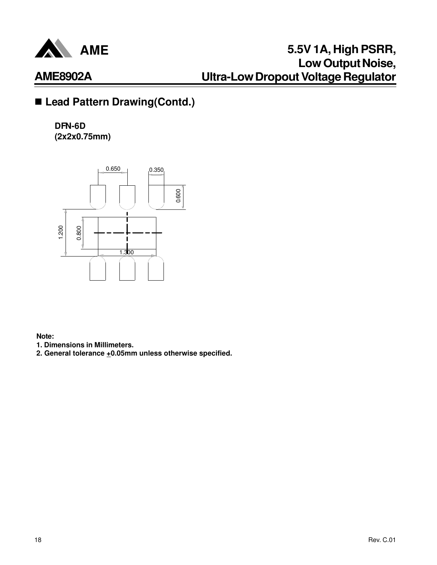

## ■ Lead Pattern Drawing(Contd.)

**DFN-6D (2x2x0.75mm)**



**Note:**

**1. Dimensions in Millimeters.**

**2. General tolerance +0.05mm unless otherwise specified.**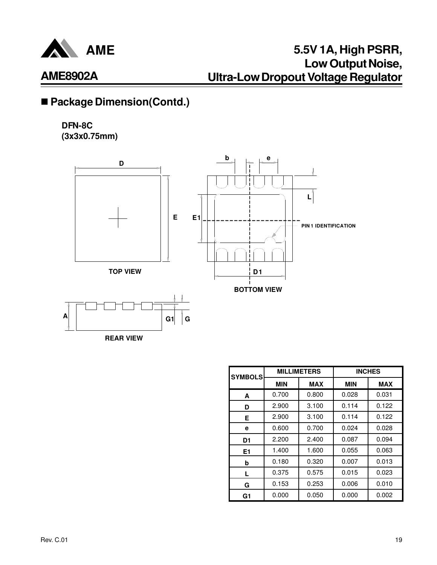

## ■ Package Dimension(Contd.)

### **DFN-8C (3x3x0.75mm)**



| <b>SYMBOLS</b> |            | <b>MILLIMETERS</b> | <b>INCHES</b> |            |  |
|----------------|------------|--------------------|---------------|------------|--|
|                | <b>MIN</b> | <b>MAX</b>         | <b>MIN</b>    | <b>MAX</b> |  |
| A              | 0.700      | 0.800              | 0.028         | 0.031      |  |
| D              | 2.900      | 3.100              | 0.114         | 0.122      |  |
| Е              | 2.900      | 3.100              | 0.114         | 0.122      |  |
| е              | 0.600      | 0.700              | 0.024         | 0.028      |  |
| D <sub>1</sub> | 2.200      | 2.400              | 0.087         | 0.094      |  |
| E1             | 1.400      | 1.600              | 0.055         | 0.063      |  |
| b              | 0.180      | 0.320              | 0.007         | 0.013      |  |
| L              | 0.375      | 0.575              | 0.015         | 0.023      |  |
| G              | 0.153      | 0.253              | 0.006         | 0.010      |  |
| G1             | 0.000      | 0.050              | 0.000         | 0.002      |  |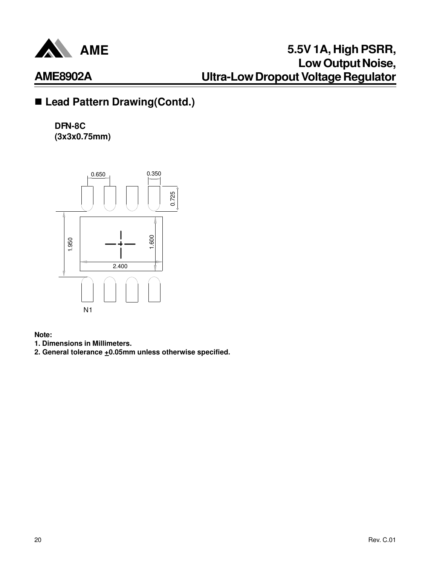

## ■ Lead Pattern Drawing(Contd.)

**DFN-8C (3x3x0.75mm)**



**Note:**

- **1. Dimensions in Millimeters.**
- 2. General tolerance  $\pm$ 0.05mm unless otherwise specified.